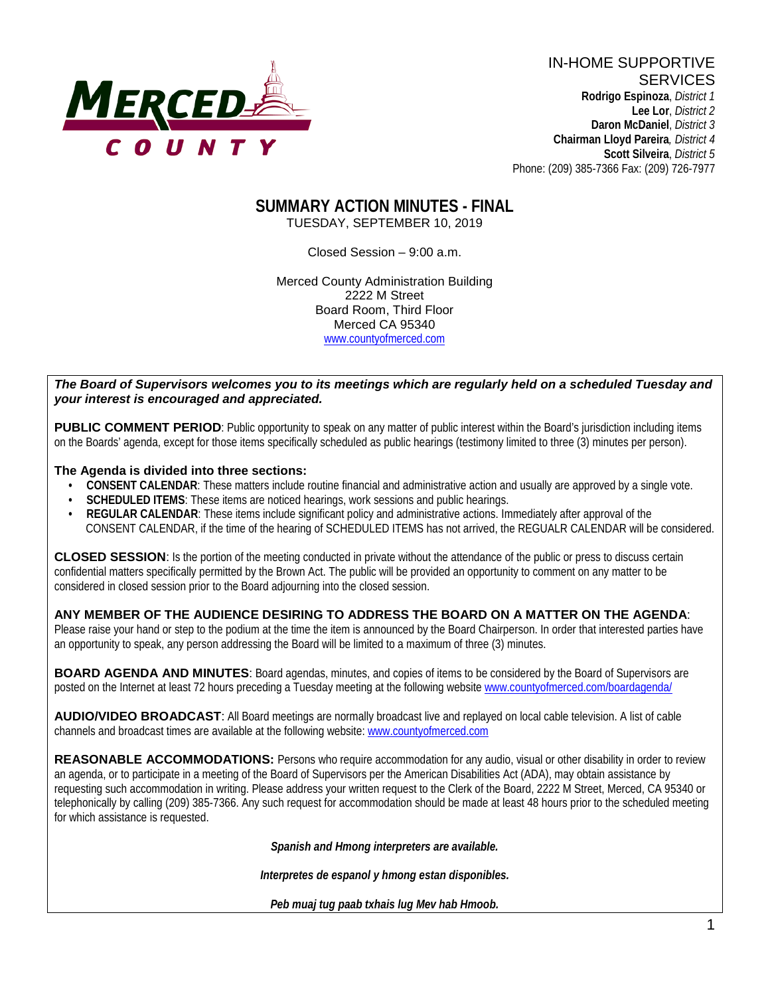

IN-HOME SUPPORTIVE **SERVICES Rodrigo Espinoza**, *District 1*  **Lee Lor**, *District 2*  **Daron McDaniel**, *District 3* **Chairman Lloyd Pareira***, District 4*  **Scott Silveira**, *District 5* Phone: (209) 385-7366 Fax: (209) 726-7977

### **SUMMARY ACTION MINUTES - FINAL** TUESDAY, SEPTEMBER 10, 2019

Closed Session – 9:00 a.m.

Merced County Administration Building 2222 M Street Board Room, Third Floor Merced CA 95340 www.countyofmerced.com

#### *The Board of Supervisors welcomes you to its meetings which are regularly held on a scheduled Tuesday and your interest is encouraged and appreciated.*

**PUBLIC COMMENT PERIOD:** Public opportunity to speak on any matter of public interest within the Board's jurisdiction including items on the Boards' agenda, except for those items specifically scheduled as public hearings (testimony limited to three (3) minutes per person).

#### **The Agenda is divided into three sections:**

- **CONSENT CALENDAR**: These matters include routine financial and administrative action and usually are approved by a single vote.
- **SCHEDULED ITEMS:** These items are noticed hearings, work sessions and public hearings.
- **REGULAR CALENDAR:** These items include significant policy and administrative actions. Immediately after approval of the CONSENT CALENDAR, if the time of the hearing of SCHEDULED ITEMS has not arrived, the REGUALR CALENDAR will be considered.

**CLOSED SESSION**: Is the portion of the meeting conducted in private without the attendance of the public or press to discuss certain confidential matters specifically permitted by the Brown Act. The public will be provided an opportunity to comment on any matter to be considered in closed session prior to the Board adjourning into the closed session.

#### **ANY MEMBER OF THE AUDIENCE DESIRING TO ADDRESS THE BOARD ON A MATTER ON THE AGENDA**:

Please raise your hand or step to the podium at the time the item is announced by the Board Chairperson. In order that interested parties have an opportunity to speak, any person addressing the Board will be limited to a maximum of three (3) minutes.

**BOARD AGENDA AND MINUTES:** Board agendas, minutes, and copies of items to be considered by the Board of Supervisors are posted on the Internet at least 72 hours preceding a Tuesday meeting at the following website [www.countyofmerced.com/boardagenda/](http://www.countyofmerced.com/boardagenda/) 

**AUDIO/VIDEO BROADCAST**: All Board meetings are normally broadcast live and replayed on local cable television. A list of cable channels and broadcast times are available at the following website[: www.countyofmerced.com](http://www.countyofmerced.com/)

**REASONABLE ACCOMMODATIONS:** Persons who require accommodation for any audio, visual or other disability in order to review an agenda, or to participate in a meeting of the Board of Supervisors per the American Disabilities Act (ADA), may obtain assistance by requesting such accommodation in writing. Please address your written request to the Clerk of the Board, 2222 M Street, Merced, CA 95340 or telephonically by calling (209) 385-7366. Any such request for accommodation should be made at least 48 hours prior to the scheduled meeting for which assistance is requested.

*Spanish and Hmong interpreters are available.*

*Interpretes de espanol y hmong estan disponibles.*

*Peb muaj tug paab txhais lug Mev hab Hmoob.*